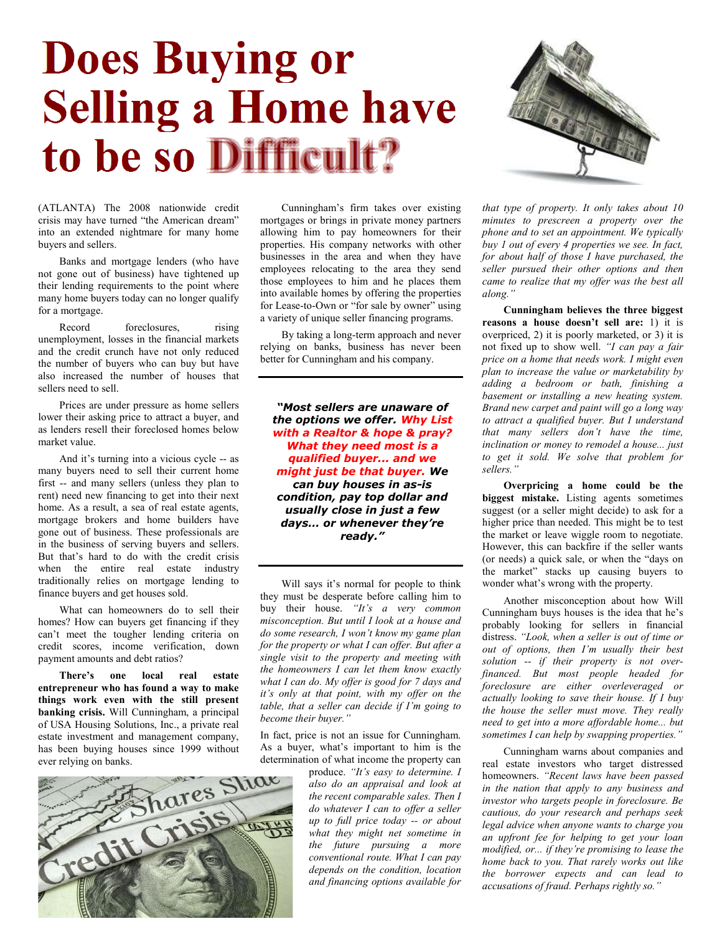## Does Buying or Selling a Home have to be so Difficult?



(ATLANTA) The 2008 nationwide credit crisis may have turned "the American dream" into an extended nightmare for many home buyers and sellers.

Banks and mortgage lenders (who have not gone out of business) have tightened up their lending requirements to the point where many home buyers today can no longer qualify for a mortgage.

Record foreclosures, rising unemployment, losses in the financial markets and the credit crunch have not only reduced the number of buyers who can buy but have also increased the number of houses that sellers need to sell.

Prices are under pressure as home sellers lower their asking price to attract a buyer, and as lenders resell their foreclosed homes below market value.

And it's turning into a vicious cycle -- as many buyers need to sell their current home first -- and many sellers (unless they plan to rent) need new financing to get into their next home. As a result, a sea of real estate agents, mortgage brokers and home builders have gone out of business. These professionals are in the business of serving buyers and sellers. But that's hard to do with the credit crisis when the entire real estate industry traditionally relies on mortgage lending to finance buyers and get houses sold.

What can homeowners do to sell their homes? How can buyers get financing if they can't meet the tougher lending criteria on credit scores, income verification, down payment amounts and debt ratios?

There's one local real estate entrepreneur who has found a way to make things work even with the still present banking crisis. Will Cunningham, a principal of USA Housing Solutions, Inc., a private real estate investment and management company, has been buying houses since 1999 without ever relying on banks.



Cunningham's firm takes over existing mortgages or brings in private money partners allowing him to pay homeowners for their properties. His company networks with other businesses in the area and when they have employees relocating to the area they send those employees to him and he places them into available homes by offering the properties for Lease-to-Own or "for sale by owner" using a variety of unique seller financing programs.

By taking a long-term approach and never relying on banks, business has never been better for Cunningham and his company.

"Most sellers are unaware of the options we offer. Why List with a Realtor & hope & pray? What they need most is a qualified buyer... and we might just be that buyer. We can buy houses in as-is condition, pay top dollar and usually close in just a few days… or whenever they're ready."

Will says it's normal for people to think they must be desperate before calling him to buy their house. "It's a very common misconception. But until I look at a house and do some research, I won't know my game plan for the property or what I can offer. But after a single visit to the property and meeting with the homeowners I can let them know exactly what I can do. My offer is good for 7 days and it's only at that point, with my offer on the table, that a seller can decide if I'm going to become their buyer."

In fact, price is not an issue for Cunningham. As a buyer, what's important to him is the

produce. "It's easy to determine. I also do an appraisal and look at the recent comparable sales. Then I do whatever I can to offer a seller up to full price today -- or about what they might net sometime in the future pursuing a more conventional route. What I can pay depends on the condition, location and financing options available for that type of property. It only takes about 10 minutes to prescreen a property over the phone and to set an appointment. We typically buy 1 out of every 4 properties we see. In fact, for about half of those I have purchased, the seller pursued their other options and then came to realize that my offer was the best all along."

Cunningham believes the three biggest reasons a house doesn't sell are: 1) it is overpriced, 2) it is poorly marketed, or 3) it is not fixed up to show well. "I can pay a fair price on a home that needs work. I might even plan to increase the value or marketability by adding a bedroom or bath, finishing a basement or installing a new heating system. Brand new carpet and paint will go a long way to attract a qualified buyer. But I understand that many sellers don't have the time, inclination or money to remodel a house... just to get it sold. We solve that problem for sellers."

Overpricing a home could be the biggest mistake. Listing agents sometimes suggest (or a seller might decide) to ask for a higher price than needed. This might be to test the market or leave wiggle room to negotiate. However, this can backfire if the seller wants (or needs) a quick sale, or when the "days on the market" stacks up causing buyers to wonder what's wrong with the property.

Another misconception about how Will Cunningham buys houses is the idea that he's probably looking for sellers in financial distress. "Look, when a seller is out of time or out of options, then I'm usually their best solution -- if their property is not overfinanced. But most people headed for foreclosure are either overleveraged or actually looking to save their house. If I buy the house the seller must move. They really need to get into a more affordable home... but sometimes I can help by swapping properties."

Cunningham warns about companies and real estate investors who target distressed homeowners. "Recent laws have been passed in the nation that apply to any business and investor who targets people in foreclosure. Be cautious, do your research and perhaps seek legal advice when anyone wants to charge you an upfront fee for helping to get your loan modified, or... if they're promising to lease the home back to you. That rarely works out like the borrower expects and can lead to accusations of fraud. Perhaps rightly so."